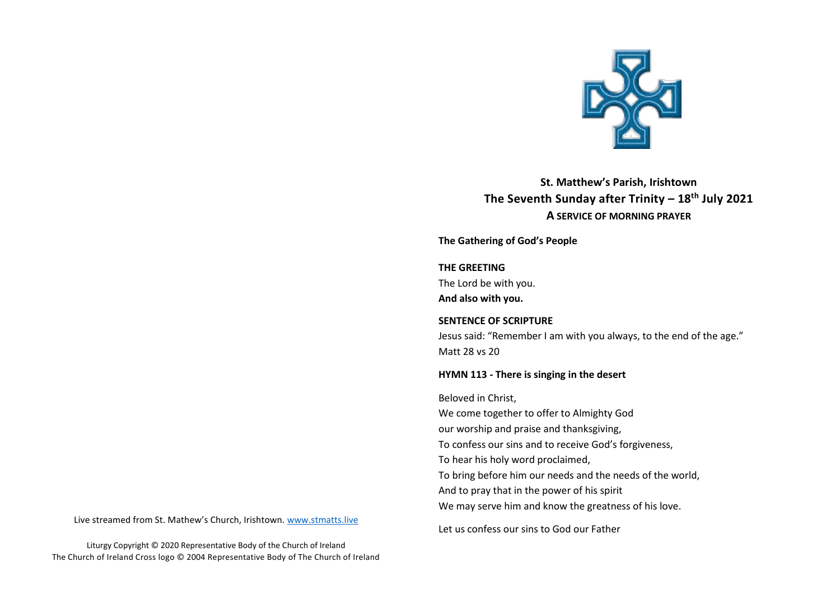

**St. Matthew's Parish, Irishtown The Seventh Sunday after Trinity – 18th July 2021 A SERVICE OF MORNING PRAYER**

**The Gathering of God's People** 

### **THE GREETING**

The Lord be with you.

**And also with you.**

#### **SENTENCE OF SCRIPTURE**

Jesus said: "Remember I am with you always, to the end of the age." Matt 28 vs 20

### **HYMN 113 - There is singing in the desert**

Beloved in Christ,

We come together to offer to Almighty God

our worship and praise and thanksgiving,

To confess our sins and to receive God's forgiveness,

To hear his holy word proclaimed,

To bring before him our needs and the needs of the world,

And to pray that in the power of his spirit

We may serve him and know the greatness of his love.

Let us confess our sins to God our Father

Live streamed from St. Mathew's Church, Irishtown. [www.stmatts.live](about:blank)

Liturgy Copyright © 2020 Representative Body of the Church of Ireland The Church of Ireland Cross logo © 2004 Representative Body of The Church of Ireland